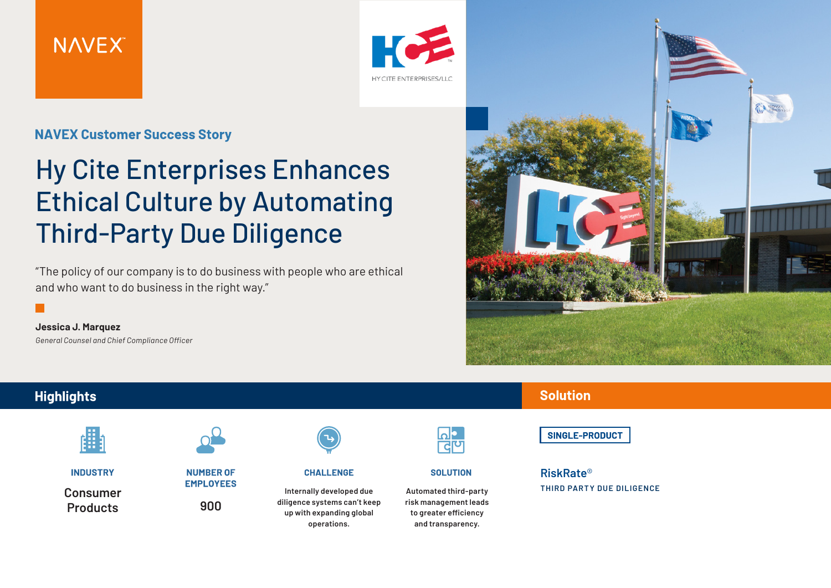



#### **NAVEX Customer Success Story**

## Hy Cite Enterprises Enhances Ethical Culture by Automating Third-Party Due Diligence

"The policy of our company is to do business with people who are ethical and who want to do business in the right way."

**Jessica J. Marquez** *General Counsel and Chief Compliance Officer*



# **Highlights**

**INDUSTRY** 

**Consumer Products**



**NUMBER OF EMPLOYEES** 

**900**



**CHALLENGE** 

**Internally developed due diligence systems can't keep up with expanding global operations.**

**SOLUTION** 

**Automated third-party risk management leads to greater efficiency and transparency.**

**Solution** 

SINGLE-PRODUCT

#### **RiskRate**® **THIRD PARTY DUE DILIGENCE**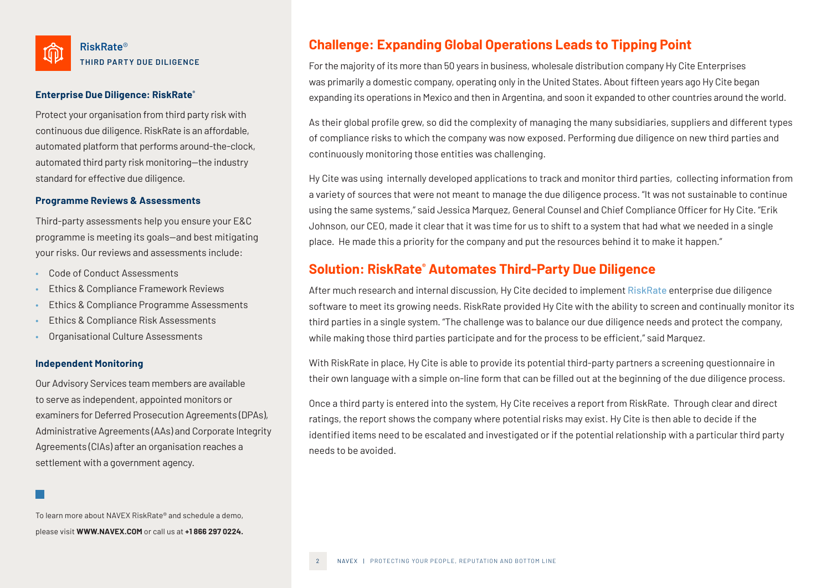

#### **Enterprise Due Diligence: RiskRate®**

Protect your organisation from third party risk with continuous due diligence. RiskRate is an affordable, automated platform that performs around-the-clock, automated third party risk monitoring—the industry standard for effective due diligence.

#### **Programme Reviews & Assessments**

Third-party assessments help you ensure your E&C programme is meeting its goals—and best mitigating your risks. Our reviews and assessments include:

- Code of Conduct Assessments
- Ethics & Compliance Framework Reviews
- Ethics & Compliance Programme Assessments
- Ethics & Compliance Risk Assessments
- Organisational Culture Assessments

#### **Independent Monitoring**

Our Advisory Services team members are available to serve as independent, appointed monitors or examiners for Deferred Prosecution Agreements (DPAs), Administrative Agreements (AAs) and Corporate Integrity Agreements (CIAs) after an organisation reaches a settlement with a government agency.

To learn more about NAVEX RiskRate® and schedule a demo, please visit **WWW.NAVEX.COM** or call us at **+1 866 297 0224.**

#### **Challenge: Expanding Global Operations Leads to Tipping Point**

For the majority of its more than 50 years in business, wholesale distribution company Hy Cite Enterprises was primarily a domestic company, operating only in the United States. About fifteen years ago Hy Cite began expanding its operations in Mexico and then in Argentina, and soon it expanded to other countries around the world.

As their global profile grew, so did the complexity of managing the many subsidiaries, suppliers and different types of compliance risks to which the company was now exposed. Performing due diligence on new third parties and continuously monitoring those entities was challenging.

Hy Cite was using internally developed applications to track and monitor third parties, collecting information from a variety of sources that were not meant to manage the due diligence process. "It was not sustainable to continue using the same systems," said Jessica Marquez, General Counsel and Chief Compliance Officer for Hy Cite. "Erik Johnson, our CEO, made it clear that it was time for us to shift to a system that had what we needed in a single place. He made this a priority for the company and put the resources behind it to make it happen."

#### **Solution: RiskRate® Automates Third-Party Due Diligence**

After much research and internal discussion, Hy Cite decided to implement [RiskRate](http://www.navexglobal.com/en-us/products/assess-monitor/due-diligence) enterprise due diligence software to meet its growing needs. RiskRate provided Hy Cite with the ability to screen and continually monitor its third parties in a single system. "The challenge was to balance our due diligence needs and protect the company, while making those third parties participate and for the process to be efficient," said Marquez.

With RiskRate in place, Hy Cite is able to provide its potential third-party partners a screening questionnaire in their own language with a simple on-line form that can be filled out at the beginning of the due diligence process.

Once a third party is entered into the system, Hy Cite receives a report from RiskRate. Through clear and direct ratings, the report shows the company where potential risks may exist. Hy Cite is then able to decide if the identified items need to be escalated and investigated or if the potential relationship with a particular third party needs to be avoided.